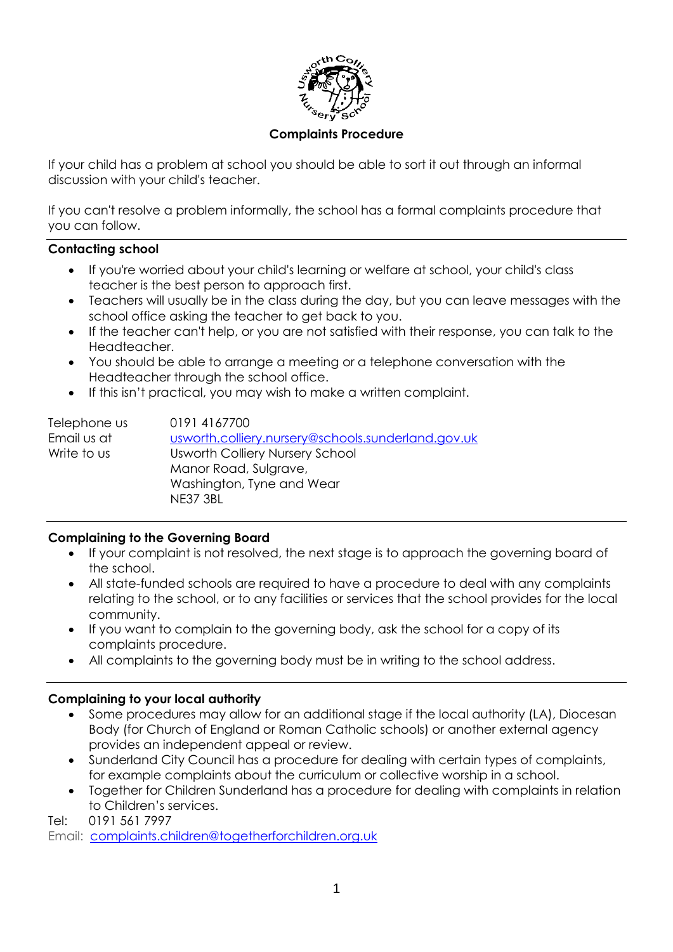

### **Complaints Procedure**

If your child has a problem at school you should be able to sort it out through an informal discussion with your child's teacher.

If you can't resolve a problem informally, the school has a formal complaints procedure that you can follow.

#### **Contacting school**

- If you're worried about your child's learning or welfare at school, your child's class teacher is the best person to approach first.
- Teachers will usually be in the class during the day, but you can leave messages with the school office asking the teacher to get back to you.
- If the teacher can't help, or you are not satisfied with their response, you can talk to the Headteacher.
- You should be able to arrange a meeting or a telephone conversation with the Headteacher through the school office.
- If this isn't practical, you may wish to make a written complaint.

| Telephone us | 0191 4167700                                       |
|--------------|----------------------------------------------------|
| Email us at  | usworth.colliery.nursery@schools.sunderland.gov.uk |
| Write to us  | <b>Usworth Colliery Nursery School</b>             |
|              | Manor Road, Sulgrave,                              |
|              | Washington, Tyne and Wear                          |
|              | <b>NE37 3BL</b>                                    |

# **Complaining to the Governing Board**

- If your complaint is not resolved, the next stage is to approach the governing board of the school.
- All state-funded schools are required to have a procedure to deal with any complaints relating to the school, or to any facilities or services that the school provides for the local community.
- If you want to complain to the governing body, ask the school for a copy of its complaints procedure.
- All complaints to the governing body must be in writing to the school address.

# **Complaining to your local authority**

- Some procedures may allow for an additional stage if the local authority (LA), Diocesan Body (for Church of England or Roman Catholic schools) or another external agency provides an independent appeal or review.
- Sunderland City Council has a procedure for dealing with certain types of complaints, for example complaints about the curriculum or collective worship in a school.
- Together for Children Sunderland has a procedure for dealing with complaints in relation to Children's services.

Tel: 0191 561 7997

Email: [complaints.children@togetherforchildren.org.uk](mailto:complaints.children@togetherforchildren.org.uk)